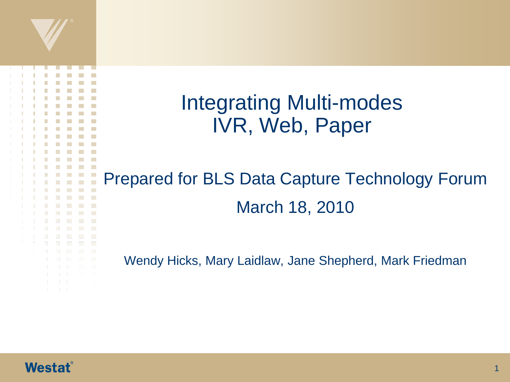

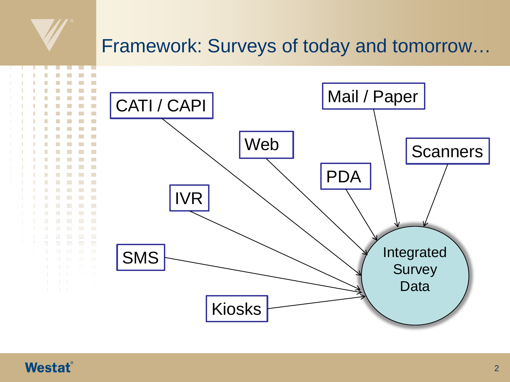#### Framework: Surveys of today and tomorrow…



#### **Westat**®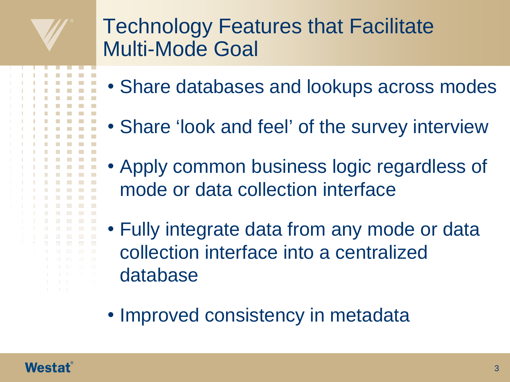#### Technology Features that Facilitate Multi-Mode Goal

- Share databases and lookups across modes
- Share 'look and feel' of the survey interview
- Apply common business logic regardless of mode or data collection interface
- Fully integrate data from any mode or data collection interface into a centralized database
- Improved consistency in metadata

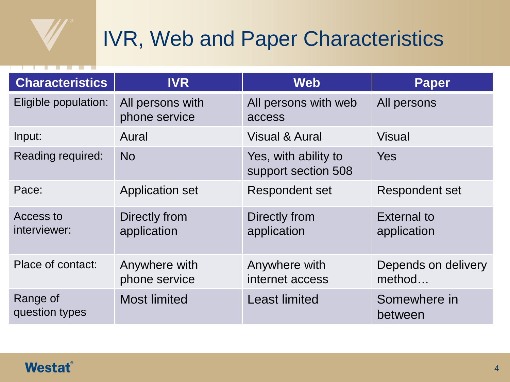

# IVR, Web and Paper Characteristics

| <b>Characteristics</b>     | <b>IVR</b>                        | <b>Web</b>                                  | <b>Paper</b>                      |
|----------------------------|-----------------------------------|---------------------------------------------|-----------------------------------|
| Eligible population:       | All persons with<br>phone service | All persons with web<br>access              | All persons                       |
| Input:                     | Aural                             | <b>Visual &amp; Aural</b>                   | Visual                            |
| Reading required:          | N <sub>O</sub>                    | Yes, with ability to<br>support section 508 | Yes                               |
| Pace:                      | <b>Application set</b>            | <b>Respondent set</b>                       | <b>Respondent set</b>             |
| Access to<br>interviewer:  | Directly from<br>application      | Directly from<br>application                | <b>External to</b><br>application |
| Place of contact:          | Anywhere with<br>phone service    | Anywhere with<br>internet access            | Depends on delivery<br>method     |
| Range of<br>question types | <b>Most limited</b>               | <b>Least limited</b>                        | Somewhere in<br>between           |

#### **Westat**®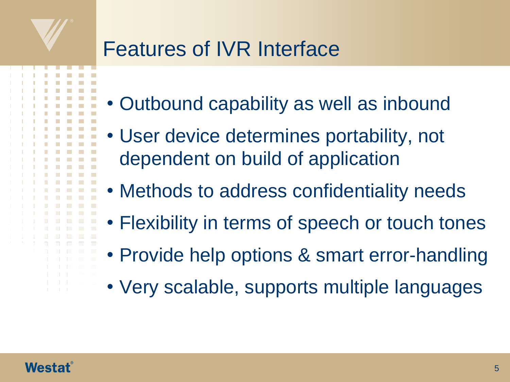#### Features of IVR Interface

- Outbound capability as well as inbound
- User device determines portability, not dependent on build of application
- Methods to address confidentiality needs
- Flexibility in terms of speech or touch tones
- Provide help options & smart error-handling
- Very scalable, supports multiple languages

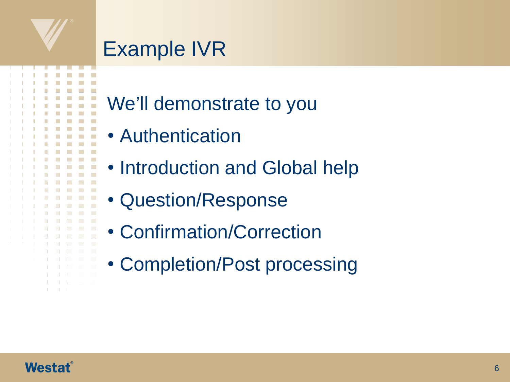## Example IVR

- We'll demonstrate to you
- Authentication
- Introduction and Global help
- Question/Response
- Confirmation/Correction
- Completion/Post processing

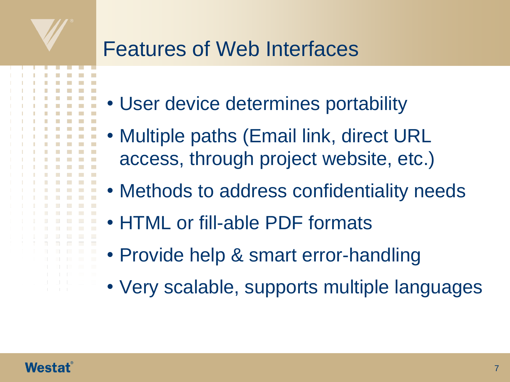#### Features of Web Interfaces

- User device determines portability
- Multiple paths (Email link, direct URL access, through project website, etc.)
- Methods to address confidentiality needs
- HTML or fill-able PDF formats
- Provide help & smart error-handling
- Very scalable, supports multiple languages

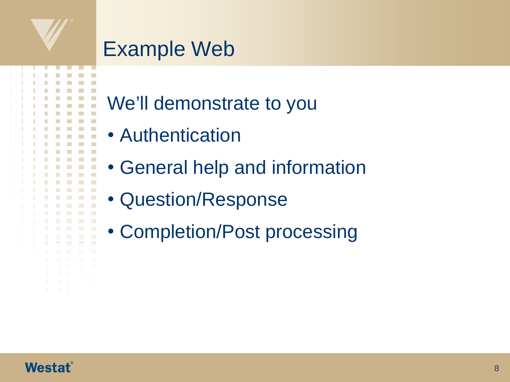#### Example Web

- We'll demonstrate to you
- Authentication
- General help and information
- Question/Response
- Completion/Post processing



n.

**I**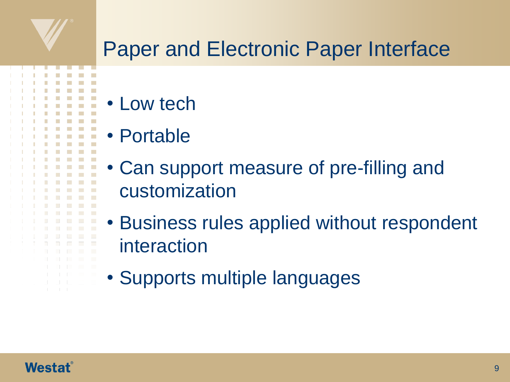

## Paper and Electronic Paper Interface

- Low tech
- Portable
- Can support measure of pre-filling and customization
- Business rules applied without respondent interaction
- Supports multiple languages

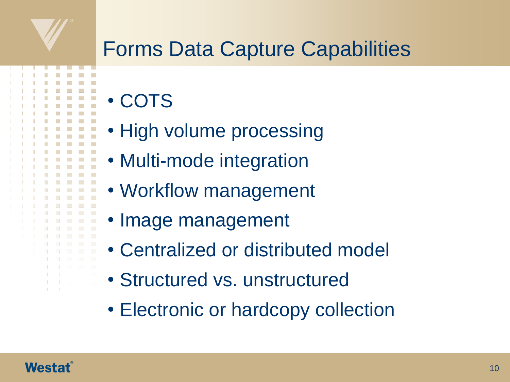## Forms Data Capture Capabilities

- COTS
- High volume processing
- Multi-mode integration
- Workflow management
- Image management
- Centralized or distributed model
- Structured vs. unstructured
- Electronic or hardcopy collection

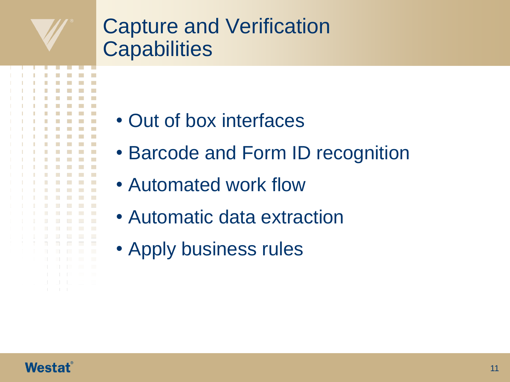#### Capture and Verification **Capabilities**

- Out of box interfaces
- Barcode and Form ID recognition
- Automated work flow
- Automatic data extraction
- Apply business rules



 $\Box$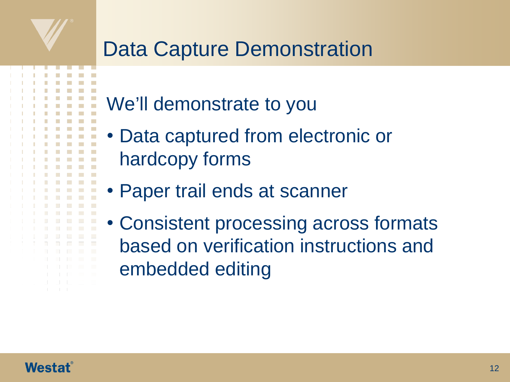#### Data Capture Demonstration

- We'll demonstrate to you
- Data captured from electronic or hardcopy forms
- Paper trail ends at scanner
- Consistent processing across formats based on verification instructions and embedded editing

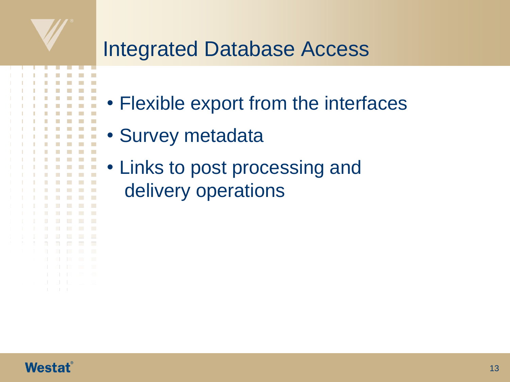### Integrated Database Access

- Flexible export from the interfaces
- Survey metadata
- Links to post processing and delivery operations



 $\Box$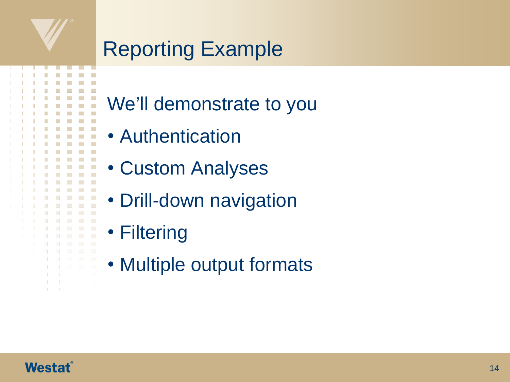

- We'll demonstrate to you
- Authentication
- Custom Analyses
- Drill-down navigation
- Filtering

**Tara**  $\mathcal{L}_{\mathcal{A}}$ 

• Multiple output formats